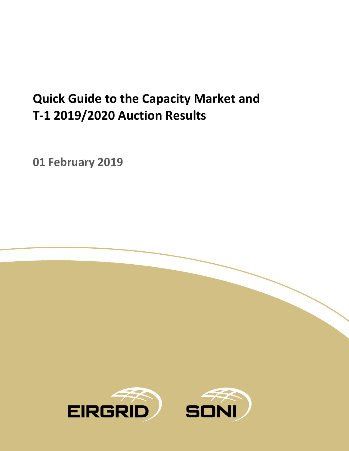# **Quick Guide to the Capacity Market and T-1 2019/2020 Auction Results**

**01 February 2019**

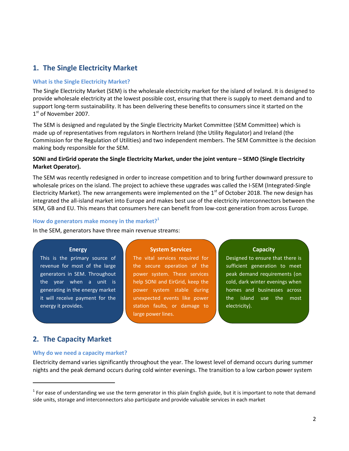# **1. The Single Electricity Market**

## **What is the Single Electricity Market?**

The Single Electricity Market (SEM) is the wholesale electricity market for the island of Ireland. It is designed to provide wholesale electricity at the lowest possible cost, ensuring that there is supply to meet demand and to support long-term sustainability. It has been delivering these benefits to consumers since it started on the 1<sup>st</sup> of November 2007.

The SEM is designed and regulated by the Single Electricity Market Committee (SEM Committee) which is made up of representatives from regulators in Northern Ireland (the Utility Regulator) and Ireland (the Commission for the Regulation of Utilities) and two independent members. The SEM Committee is the decision making body responsible for the SEM.

## **SONI and EirGrid operate the Single Electricity Market, under the joint venture – SEMO (Single Electricity Market Operator).**

The SEM was recently redesigned in order to increase competition and to bring further downward pressure to wholesale prices on the island. The project to achieve these upgrades was called the I-SEM (Integrated-Single Electricity Market). The new arrangements were implemented on the  $1<sup>st</sup>$  of October 2018. The new design has integrated the all-island market into Europe and makes best use of the electricity interconnectors between the SEM, GB and EU. This means that consumers here can benefit from low-cost generation from across Europe.

#### **How do generators make money in the market?<sup>1</sup>**

In the SEM, generators have three main revenue streams:

#### **Energy**

This is the primary source of revenue for most of the large generators in SEM. Throughout the year when a unit is generating in the energy market it will receive payment for the energy it provides.

#### **System Services**

The vital services required for the secure operation of the power system. These services help SONI and EirGrid, keep the power system stable during unexpected events like power station faults, or damage to large power lines.

#### **Capacity**

Designed to ensure that there is sufficient generation to meet peak demand requirements (on cold, dark winter evenings when homes and businesses across the island use the most electricity).

# **2. The Capacity Market**

 $\overline{a}$ 

#### **Why do we need a capacity market?**

Electricity demand varies significantly throughout the year. The lowest level of demand occurs during summer nights and the peak demand occurs during cold winter evenings. The transition to a low carbon power system

 $1$  For ease of understanding we use the term generator in this plain English guide, but it is important to note that demand side units, storage and interconnectors also participate and provide valuable services in each market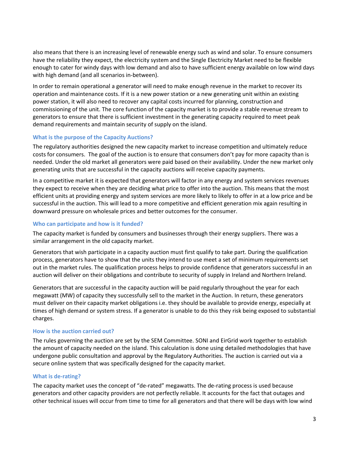also means that there is an increasing level of renewable energy such as wind and solar. To ensure consumers have the reliability they expect, the electricity system and the Single Electricity Market need to be flexible enough to cater for windy days with low demand and also to have sufficient energy available on low wind days with high demand (and all scenarios in-between).

In order to remain operational a generator will need to make enough revenue in the market to recover its operation and maintenance costs. If it is a new power station or a new generating unit within an existing power station, it will also need to recover any capital costs incurred for planning, construction and commissioning of the unit. The core function of the capacity market is to provide a stable revenue stream to generators to ensure that there is sufficient investment in the generating capacity required to meet peak demand requirements and maintain security of supply on the island.

## **What is the purpose of the Capacity Auctions?**

The regulatory authorities designed the new capacity market to increase competition and ultimately reduce costs for consumers. The goal of the auction is to ensure that consumers don't pay for more capacity than is needed. Under the old market all generators were paid based on their availability. Under the new market only generating units that are successful in the capacity auctions will receive capacity payments.

In a competitive market it is expected that generators will factor in any energy and system services revenues they expect to receive when they are deciding what price to offer into the auction. This means that the most efficient units at providing energy and system services are more likely to likely to offer in at a low price and be successful in the auction. This will lead to a more competitive and efficient generation mix again resulting in downward pressure on wholesale prices and better outcomes for the consumer.

## **Who can participate and how is it funded?**

The capacity market is funded by consumers and businesses through their energy suppliers. There was a similar arrangement in the old capacity market.

Generators that wish participate in a capacity auction must first qualify to take part. During the qualification process, generators have to show that the units they intend to use meet a set of minimum requirements set out in the market rules. The qualification process helps to provide confidence that generators successful in an auction will deliver on their obligations and contribute to security of supply in Ireland and Northern Ireland.

Generators that are successful in the capacity auction will be paid regularly throughout the year for each megawatt (MW) of capacity they successfully sell to the market in the Auction. In return, these generators must deliver on their capacity market obligations i.e. they should be available to provide energy, especially at times of high demand or system stress. If a generator is unable to do this they risk being exposed to substantial charges.

## **How is the auction carried out?**

The rules governing the auction are set by the SEM Committee. SONI and EirGrid work together to establish the amount of capacity needed on the island. This calculation is done using detailed methodologies that have undergone public consultation and approval by the Regulatory Authorities. The auction is carried out via a secure online system that was specifically designed for the capacity market.

## **What is de-rating?**

The capacity market uses the concept of "de-rated" megawatts. The de-rating process is used because generators and other capacity providers are not perfectly reliable. It accounts for the fact that outages and other technical issues will occur from time to time for all generators and that there will be days with low wind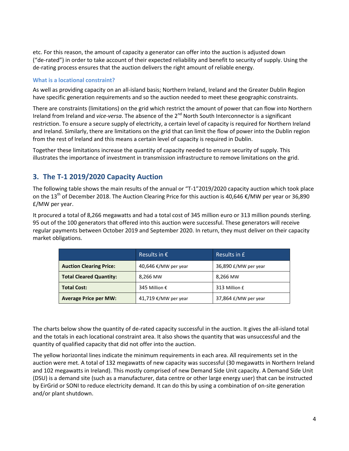etc. For this reason, the amount of capacity a generator can offer into the auction is adjusted down ("de-rated") in order to take account of their expected reliability and benefit to security of supply. Using the de-rating process ensures that the auction delivers the right amount of reliable energy.

## **What is a locational constraint?**

As well as providing capacity on an all-island basis; Northern Ireland, Ireland and the Greater Dublin Region have specific generation requirements and so the auction needed to meet these geographic constraints.

There are constraints (limitations) on the grid which restrict the amount of power that can flow into Northern Ireland from Ireland and *vice-versa*. The absence of the 2nd North South Interconnector is a significant restriction. To ensure a secure supply of electricity, a certain level of capacity is required for Northern Ireland and Ireland. Similarly, there are limitations on the grid that can limit the flow of power into the Dublin region from the rest of Ireland and this means a certain level of capacity is required in Dublin.

Together these limitations increase the quantity of capacity needed to ensure security of supply. This illustrates the importance of investment in transmission infrastructure to remove limitations on the grid.

# **3. The T-1 2019/2020 Capacity Auction**

The following table shows the main results of the annual or "T-1"2019/2020 capacity auction which took place on the 13<sup>th</sup> of December 2018. The Auction Clearing Price for this auction is 40,646 €/MW per year or 36,890 £/MW per year.

It procured a total of 8,266 megawatts and had a total cost of 345 million euro or 313 million pounds sterling. 95 out of the 100 generators that offered into this auction were successful. These generators will receive regular payments between October 2019 and September 2020. In return, they must deliver on their capacity market obligations.

|                                | Results in $\epsilon$ | Results in £         |
|--------------------------------|-----------------------|----------------------|
| <b>Auction Clearing Price:</b> | 40,646 €/MW per year  | 36,890 £/MW per year |
| <b>Total Cleared Quantity:</b> | 8,266 MW              | 8,266 MW             |
| <b>Total Cost:</b>             | 345 Million €         | 313 Million £        |
| <b>Average Price per MW:</b>   | 41,719 €/MW per year  | 37,864 £/MW per year |

The charts below show the quantity of de-rated capacity successful in the auction. It gives the all-island total and the totals in each locational constraint area. It also shows the quantity that was unsuccessful and the quantity of qualified capacity that did not offer into the auction.

The yellow horizontal lines indicate the minimum requirements in each area. All requirements set in the auction were met. A total of 132 megawatts of new capacity was successful (30 megawatts in Northern Ireland and 102 megawatts in Ireland). This mostly comprised of new Demand Side Unit capacity. A Demand Side Unit (DSU) is a demand site (such as a manufacturer, data centre or other large energy user) that can be instructed by EirGrid or SONI to reduce electricity demand. It can do this by using a combination of on-site generation and/or plant shutdown.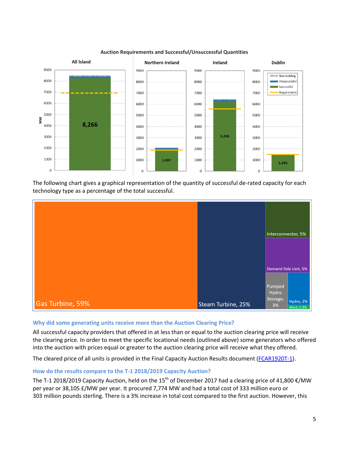

#### **Auction Requirements and Successful/Unsuccessful Quantities**

The following chart gives a graphical representation of the quantity of successful de-rated capacity for each technology type as a percentage of the total successful.



## **Why did some generating units receive more than the Auction Clearing Price?**

All successful capacity providers that offered in at less than or equal to the auction clearing price will receive the clearing price. In order to meet the specific locational needs (outlined above) some generators who offered into the auction with prices equal or greater to the auction clearing price will receive what they offered.

The cleared price of all units is provided in the Final Capacity Auction Results document [\(FCAR1920T-1\)](https://www.sem-o.com/documents/general-publications/T-1-2019-2020-Final-Capacity-Auction-Results-Report.pdf).

## **How do the results compare to the T-1 2018/2019 Capacity Auction?**

The T-1 2018/2019 Capacity Auction, held on the 15<sup>th</sup> of December 2017 had a clearing price of 41,800  $\epsilon$ /MW per year or 38,105 £/MW per year. It procured 7,774 MW and had a total cost of 333 million euro or 303 million pounds sterling. There is a 3% increase in total cost compared to the first auction. However, this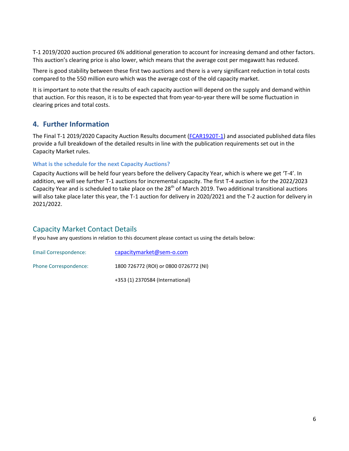T-1 2019/2020 auction procured 6% additional generation to account for increasing demand and other factors. This auction's clearing price is also lower, which means that the average cost per megawatt has reduced.

There is good stability between these first two auctions and there is a very significant reduction in total costs compared to the 550 million euro which was the average cost of the old capacity market.

It is important to note that the results of each capacity auction will depend on the supply and demand within that auction. For this reason, it is to be expected that from year-to-year there will be some fluctuation in clearing prices and total costs.

# **4. Further Information**

The Final T-1 2019/2020 Capacity Auction Results document [\(FCAR1920T-1\)](https://www.sem-o.com/documents/general-publications/T-1-2019-2020-Final-Capacity-Auction-Results-Report.pdf) and associated published data files provide a full breakdown of the detailed results in line with the publication requirements set out in the Capacity Market rules.

## **What is the schedule for the next Capacity Auctions?**

Capacity Auctions will be held four years before the delivery Capacity Year, which is where we get 'T-4'. In addition, we will see further T-1 auctions for incremental capacity. The first T-4 auction is for the 2022/2023 Capacity Year and is scheduled to take place on the  $28<sup>th</sup>$  of March 2019. Two additional transitional auctions will also take place later this year, the T-1 auction for delivery in 2020/2021 and the T-2 auction for delivery in 2021/2022.

# Capacity Market Contact Details

If you have any questions in relation to this document please contact us using the details below:

| Email Correspondence: | capacitymarket@sem-o.com               |
|-----------------------|----------------------------------------|
| Phone Correspondence: | 1800 726772 (ROI) or 0800 0726772 (NI) |
|                       | +353 (1) 2370584 (International)       |